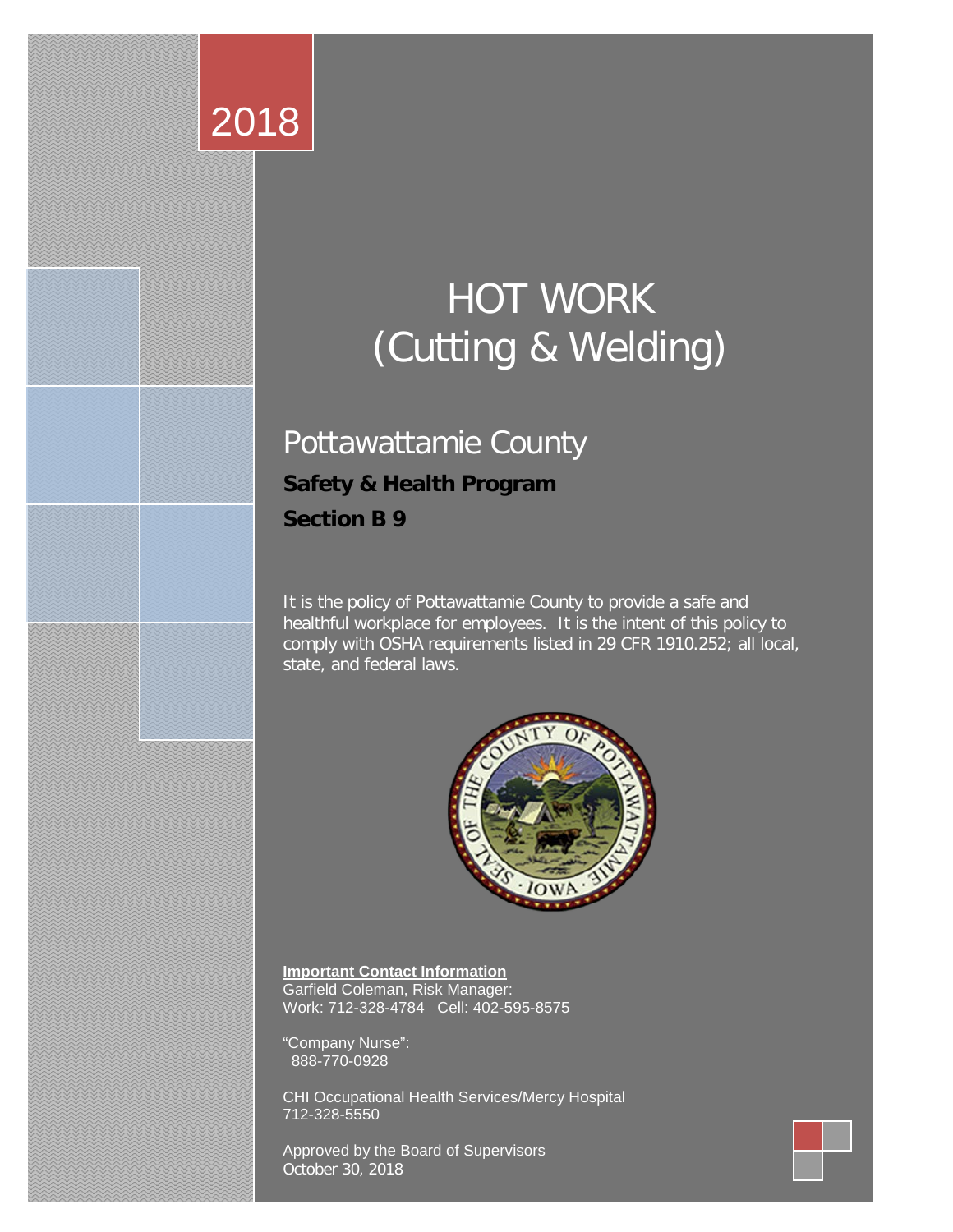# 2018

# HOT WORK (Cutting & Welding)

# Pottawattamie County **Safety & Health Program**

**Section B 9**

It is the policy of Pottawattamie County to provide a safe and healthful workplace for employees. It is the intent of this policy to comply with OSHA requirements listed in 29 CFR 1910.252; all local, state, and federal laws.



**Important Contact Information** Garfield Coleman, Risk Manager: Work: 712-328-4784 Cell: 402-595-8575

"Company Nurse": 888-770-0928

CHI Occupational Health Services/Mercy Hospital 712-328-5550

Approved by the Board of Supervisors October 30, 2018

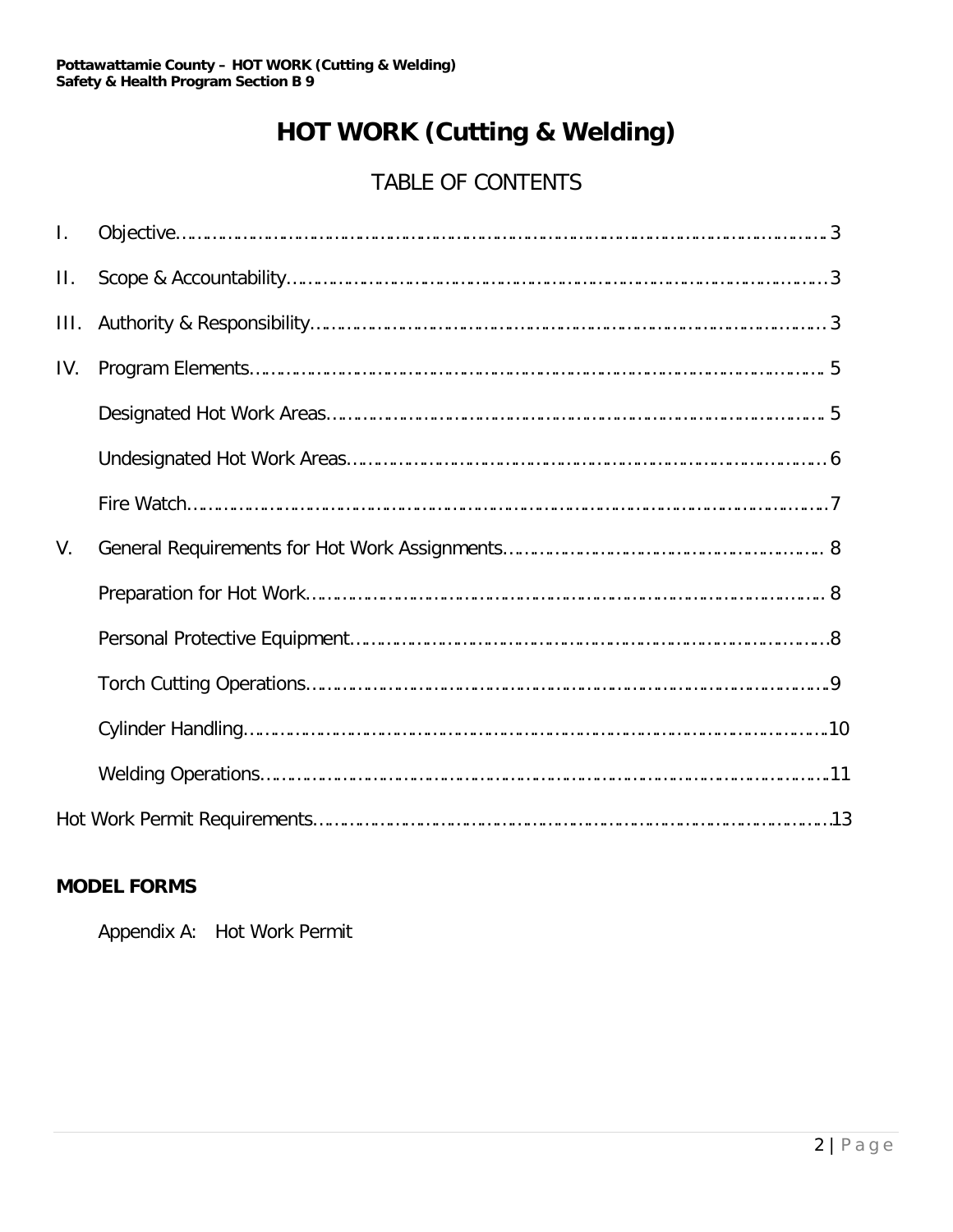## **HOT WORK (Cutting & Welding)**

## TABLE OF CONTENTS

| $\mathbf{I}$ . |  |
|----------------|--|
| П.             |  |
| III.           |  |
| IV.            |  |
|                |  |
|                |  |
|                |  |
| V.             |  |
|                |  |
|                |  |
|                |  |
|                |  |
|                |  |
|                |  |

#### **MODEL FORMS**

Appendix A: Hot Work Permit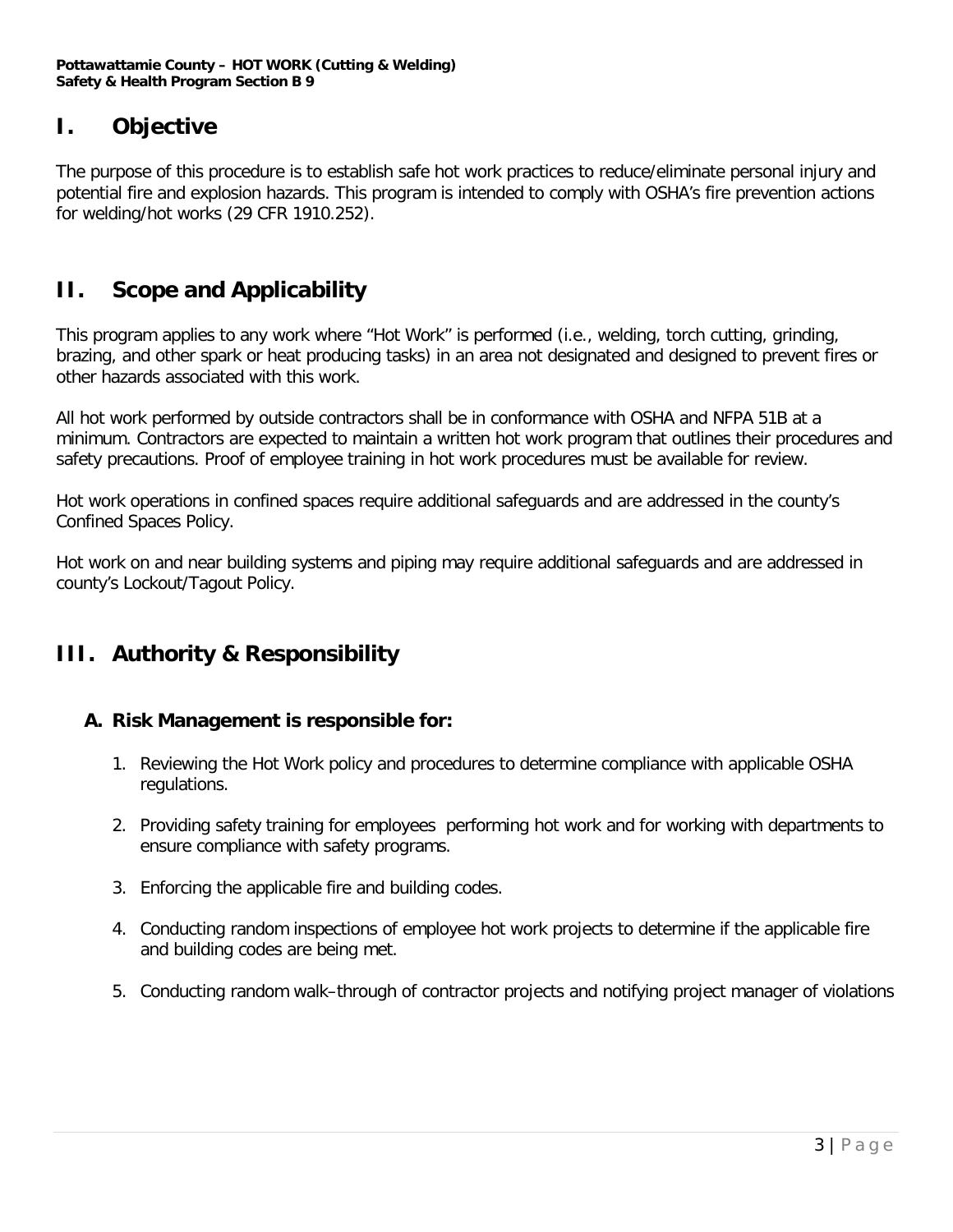### **I. Objective**

The purpose of this procedure is to establish safe hot work practices to reduce/eliminate personal injury and potential fire and explosion hazards. This program is intended to comply with OSHA's fire prevention actions for welding/hot works (29 CFR 1910.252).

## **II. Scope and Applicability**

This program applies to any work where "Hot Work" is performed (i.e., welding, torch cutting, grinding, brazing, and other spark or heat producing tasks) in an area not designated and designed to prevent fires or other hazards associated with this work.

All hot work performed by outside contractors shall be in conformance with OSHA and NFPA 51B at a minimum. Contractors are expected to maintain a written hot work program that outlines their procedures and safety precautions. Proof of employee training in hot work procedures must be available for review.

Hot work operations in confined spaces require additional safeguards and are addressed in the county's Confined Spaces Policy.

Hot work on and near building systems and piping may require additional safeguards and are addressed in county's Lockout/Tagout Policy.

#### **III. Authority & Responsibility**

#### **A. Risk Management is responsible for:**

- 1. Reviewing the Hot Work policy and procedures to determine compliance with applicable OSHA regulations.
- 2. Providing safety training for employees performing hot work and for working with departments to ensure compliance with safety programs.
- 3. Enforcing the applicable fire and building codes.
- 4. Conducting random inspections of employee hot work projects to determine if the applicable fire and building codes are being met.
- 5. Conducting random walk–through of contractor projects and notifying project manager of violations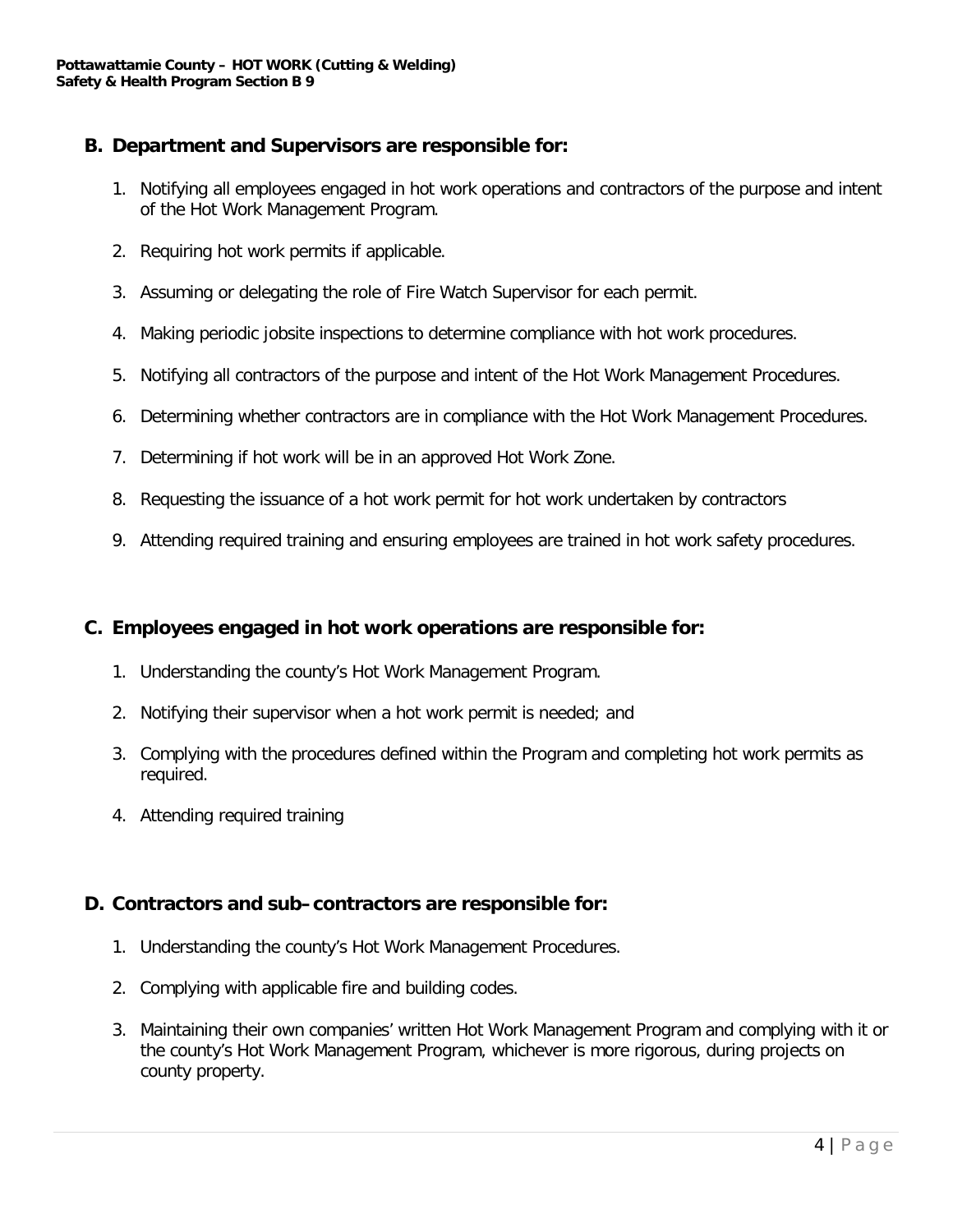#### **B. Department and Supervisors are responsible for:**

- 1. Notifying all employees engaged in hot work operations and contractors of the purpose and intent of the Hot Work Management Program.
- 2. Requiring hot work permits if applicable.
- 3. Assuming or delegating the role of Fire Watch Supervisor for each permit.
- 4. Making periodic jobsite inspections to determine compliance with hot work procedures.
- 5. Notifying all contractors of the purpose and intent of the Hot Work Management Procedures.
- 6. Determining whether contractors are in compliance with the Hot Work Management Procedures.
- 7. Determining if hot work will be in an approved Hot Work Zone.
- 8. Requesting the issuance of a hot work permit for hot work undertaken by contractors
- 9. Attending required training and ensuring employees are trained in hot work safety procedures.

#### **C. Employees engaged in hot work operations are responsible for:**

- 1. Understanding the county's Hot Work Management Program.
- 2. Notifying their supervisor when a hot work permit is needed; and
- 3. Complying with the procedures defined within the Program and completing hot work permits as required.
- 4. Attending required training

#### **D. Contractors and sub–contractors are responsible for:**

- 1. Understanding the county's Hot Work Management Procedures.
- 2. Complying with applicable fire and building codes.
- 3. Maintaining their own companies' written Hot Work Management Program and complying with it or the county's Hot Work Management Program, whichever is more rigorous, during projects on county property.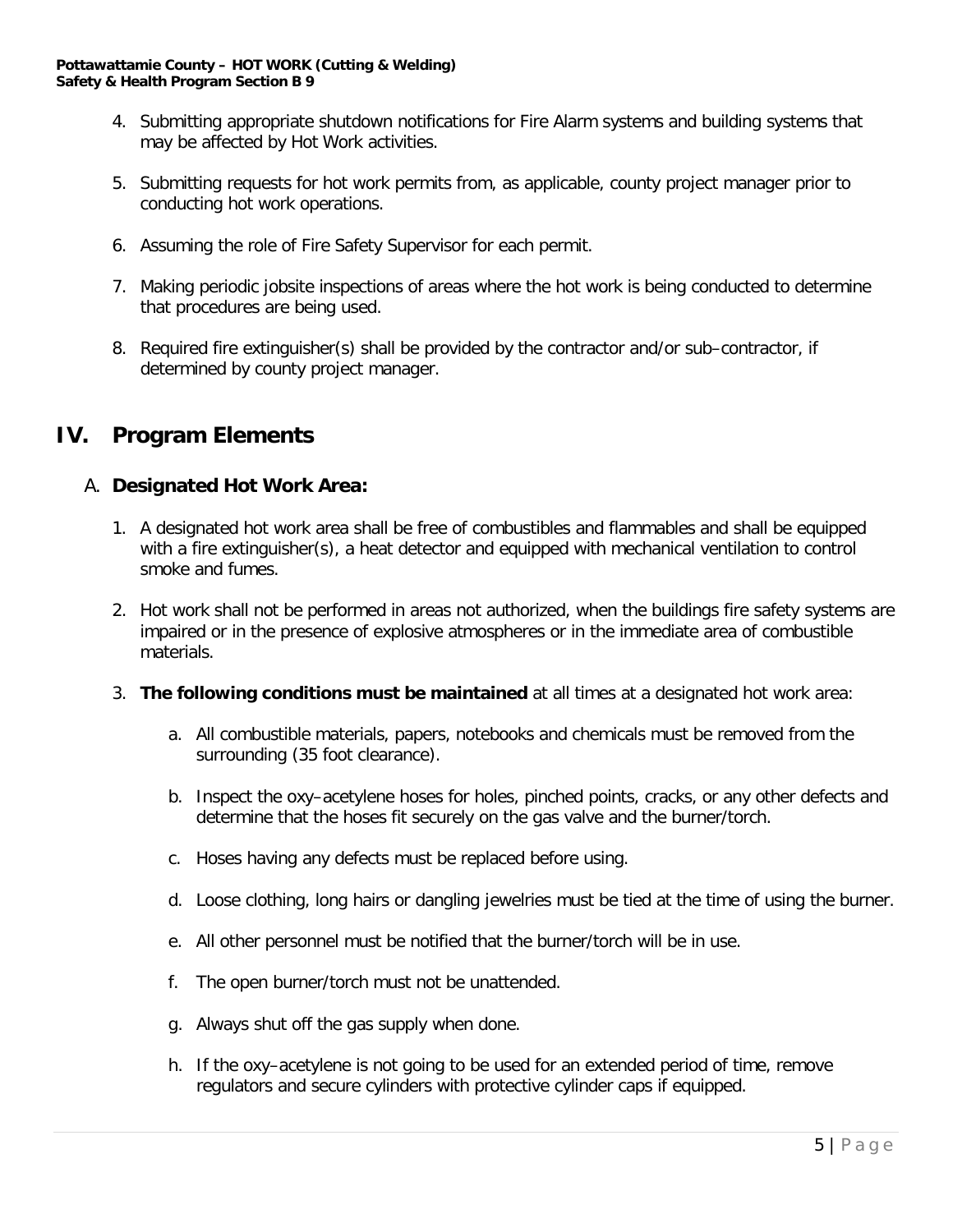- 4. Submitting appropriate shutdown notifications for Fire Alarm systems and building systems that may be affected by Hot Work activities.
- 5. Submitting requests for hot work permits from, as applicable, county project manager prior to conducting hot work operations.
- 6. Assuming the role of Fire Safety Supervisor for each permit.
- 7. Making periodic jobsite inspections of areas where the hot work is being conducted to determine that procedures are being used.
- 8. Required fire extinguisher(s) shall be provided by the contractor and/or sub–contractor, if determined by county project manager.

#### **IV. Program Elements**

#### A. **Designated Hot Work Area:**

- 1. A designated hot work area shall be free of combustibles and flammables and shall be equipped with a fire extinguisher(s), a heat detector and equipped with mechanical ventilation to control smoke and fumes.
- 2. Hot work shall not be performed in areas not authorized, when the buildings fire safety systems are impaired or in the presence of explosive atmospheres or in the immediate area of combustible materials.
- 3. **The following conditions must be maintained** at all times at a designated hot work area:
	- a. All combustible materials, papers, notebooks and chemicals must be removed from the surrounding (35 foot clearance).
	- b. Inspect the oxy–acetylene hoses for holes, pinched points, cracks, or any other defects and determine that the hoses fit securely on the gas valve and the burner/torch.
	- c. Hoses having any defects must be replaced before using.
	- d. Loose clothing, long hairs or dangling jewelries must be tied at the time of using the burner.
	- e. All other personnel must be notified that the burner/torch will be in use.
	- f. The open burner/torch must not be unattended.
	- g. Always shut off the gas supply when done.
	- h. If the oxy–acetylene is not going to be used for an extended period of time, remove regulators and secure cylinders with protective cylinder caps if equipped.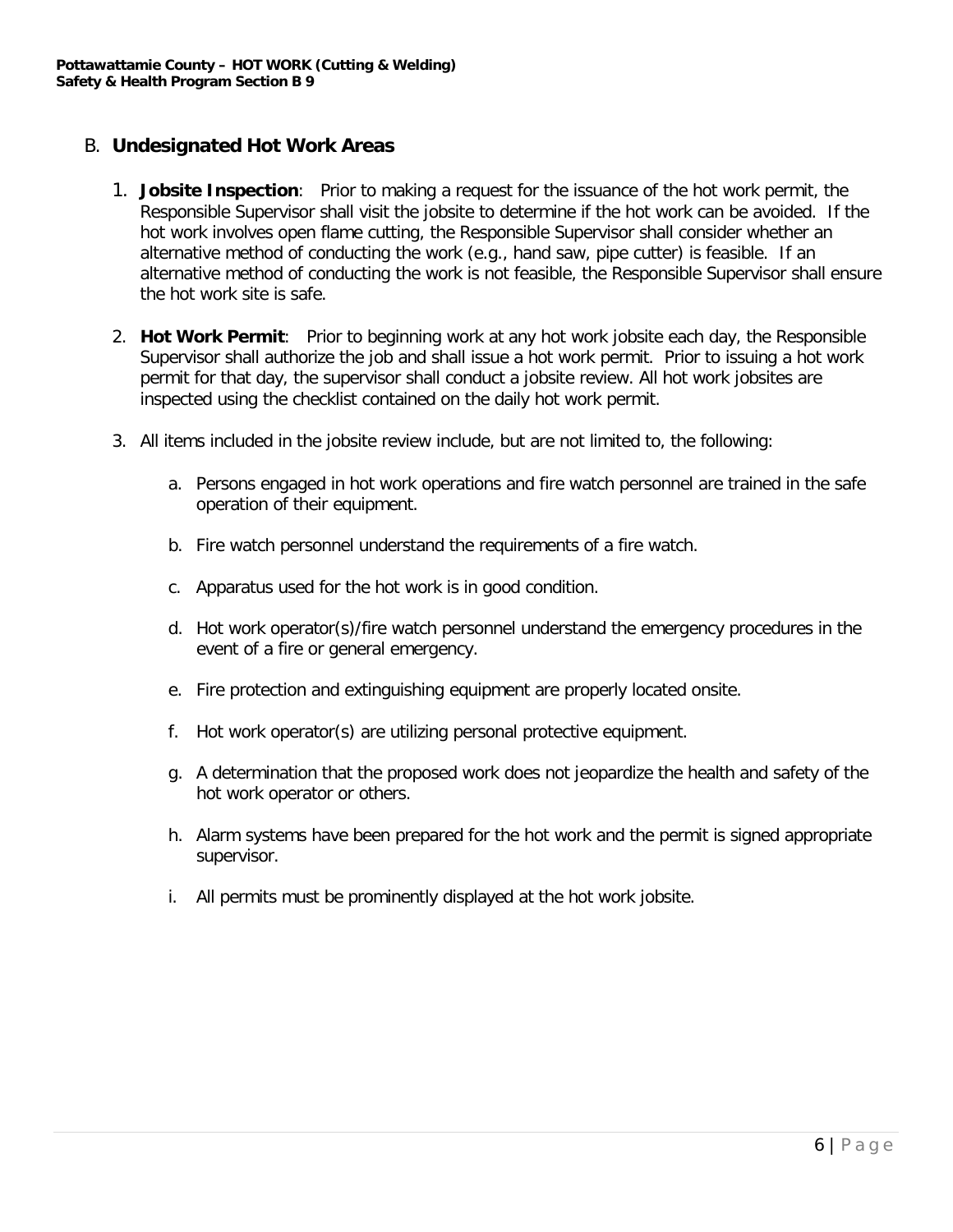#### B. **Undesignated Hot Work Areas**

- 1. **Jobsite Inspection**: Prior to making a request for the issuance of the hot work permit, the Responsible Supervisor shall visit the jobsite to determine if the hot work can be avoided. If the hot work involves open flame cutting, the Responsible Supervisor shall consider whether an alternative method of conducting the work (e.g., hand saw, pipe cutter) is feasible. If an alternative method of conducting the work is not feasible, the Responsible Supervisor shall ensure the hot work site is safe.
- 2. **Hot Work Permit**: Prior to beginning work at any hot work jobsite each day, the Responsible Supervisor shall authorize the job and shall issue a hot work permit. Prior to issuing a hot work permit for that day, the supervisor shall conduct a jobsite review. All hot work jobsites are inspected using the checklist contained on the daily hot work permit.
- 3. All items included in the jobsite review include, but are not limited to, the following:
	- a. Persons engaged in hot work operations and fire watch personnel are trained in the safe operation of their equipment.
	- b. Fire watch personnel understand the requirements of a fire watch.
	- c. Apparatus used for the hot work is in good condition.
	- d. Hot work operator(s)/fire watch personnel understand the emergency procedures in the event of a fire or general emergency.
	- e. Fire protection and extinguishing equipment are properly located onsite.
	- f. Hot work operator(s) are utilizing personal protective equipment.
	- g. A determination that the proposed work does not jeopardize the health and safety of the hot work operator or others.
	- h. Alarm systems have been prepared for the hot work and the permit is signed appropriate supervisor.
	- i. All permits must be prominently displayed at the hot work jobsite.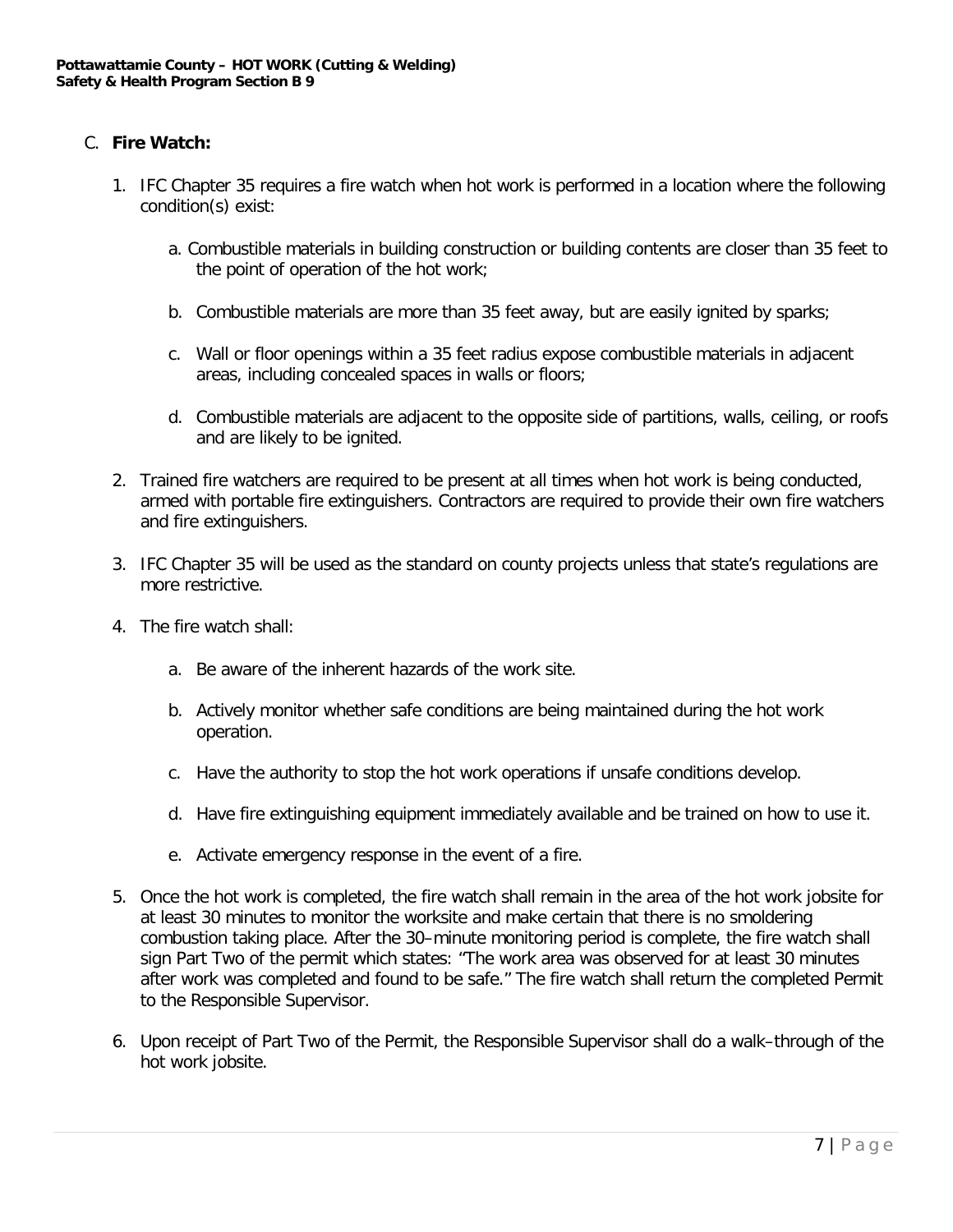#### C. **Fire Watch:**

- 1. IFC Chapter 35 requires a fire watch when hot work is performed in a location where the following condition(s) exist:
	- a. Combustible materials in building construction or building contents are closer than 35 feet to the point of operation of the hot work;
	- b. Combustible materials are more than 35 feet away, but are easily ignited by sparks;
	- c. Wall or floor openings within a 35 feet radius expose combustible materials in adjacent areas, including concealed spaces in walls or floors;
	- d. Combustible materials are adjacent to the opposite side of partitions, walls, ceiling, or roofs and are likely to be ignited.
- 2. Trained fire watchers are required to be present at all times when hot work is being conducted, armed with portable fire extinguishers. Contractors are required to provide their own fire watchers and fire extinguishers.
- 3. IFC Chapter 35 will be used as the standard on county projects unless that state's regulations are more restrictive.
- 4. The fire watch shall:
	- a. Be aware of the inherent hazards of the work site.
	- b. Actively monitor whether safe conditions are being maintained during the hot work operation.
	- c. Have the authority to stop the hot work operations if unsafe conditions develop.
	- d. Have fire extinguishing equipment immediately available and be trained on how to use it.
	- e. Activate emergency response in the event of a fire.
- 5. Once the hot work is completed, the fire watch shall remain in the area of the hot work jobsite for at least 30 minutes to monitor the worksite and make certain that there is no smoldering combustion taking place. After the 30–minute monitoring period is complete, the fire watch shall sign Part Two of the permit which states: "The work area was observed for at least 30 minutes after work was completed and found to be safe." The fire watch shall return the completed Permit to the Responsible Supervisor.
- 6. Upon receipt of Part Two of the Permit, the Responsible Supervisor shall do a walk–through of the hot work jobsite.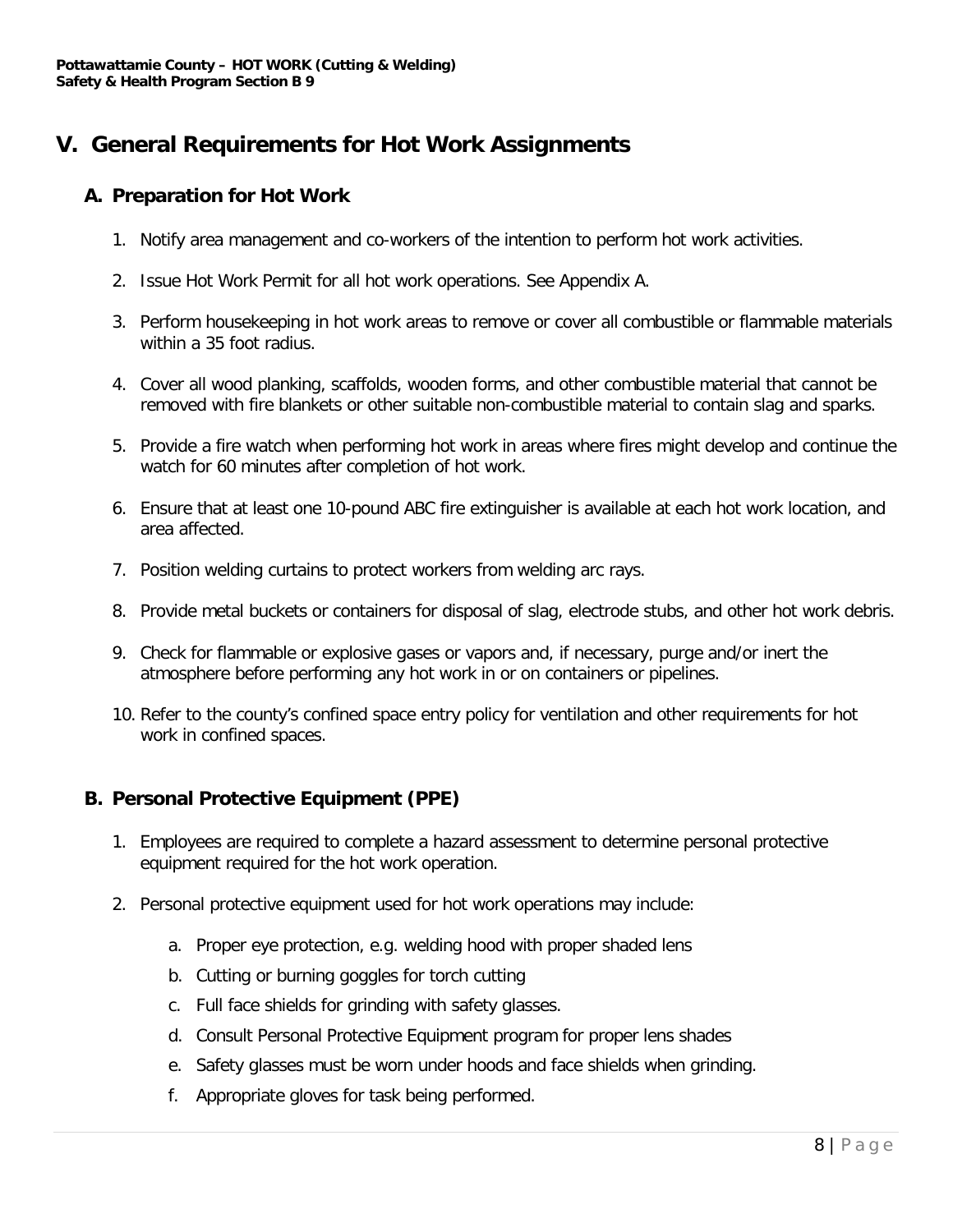## **V. General Requirements for Hot Work Assignments**

#### **A. Preparation for Hot Work**

- 1. Notify area management and co-workers of the intention to perform hot work activities.
- 2. Issue Hot Work Permit for all hot work operations. See Appendix A.
- 3. Perform housekeeping in hot work areas to remove or cover all combustible or flammable materials within a 35 foot radius.
- 4. Cover all wood planking, scaffolds, wooden forms, and other combustible material that cannot be removed with fire blankets or other suitable non-combustible material to contain slag and sparks.
- 5. Provide a fire watch when performing hot work in areas where fires might develop and continue the watch for 60 minutes after completion of hot work.
- 6. Ensure that at least one 10-pound ABC fire extinguisher is available at each hot work location, and area affected.
- 7. Position welding curtains to protect workers from welding arc rays.
- 8. Provide metal buckets or containers for disposal of slag, electrode stubs, and other hot work debris.
- 9. Check for flammable or explosive gases or vapors and, if necessary, purge and/or inert the atmosphere before performing any hot work in or on containers or pipelines.
- 10. Refer to the county's confined space entry policy for ventilation and other requirements for hot work in confined spaces.

#### **B. Personal Protective Equipment (PPE)**

- 1. Employees are required to complete a hazard assessment to determine personal protective equipment required for the hot work operation.
- 2. Personal protective equipment used for hot work operations may include:
	- a. Proper eye protection, e.g. welding hood with proper shaded lens
	- b. Cutting or burning goggles for torch cutting
	- c. Full face shields for grinding with safety glasses.
	- d. Consult Personal Protective Equipment program for proper lens shades
	- e. Safety glasses must be worn under hoods and face shields when grinding.
	- f. Appropriate gloves for task being performed.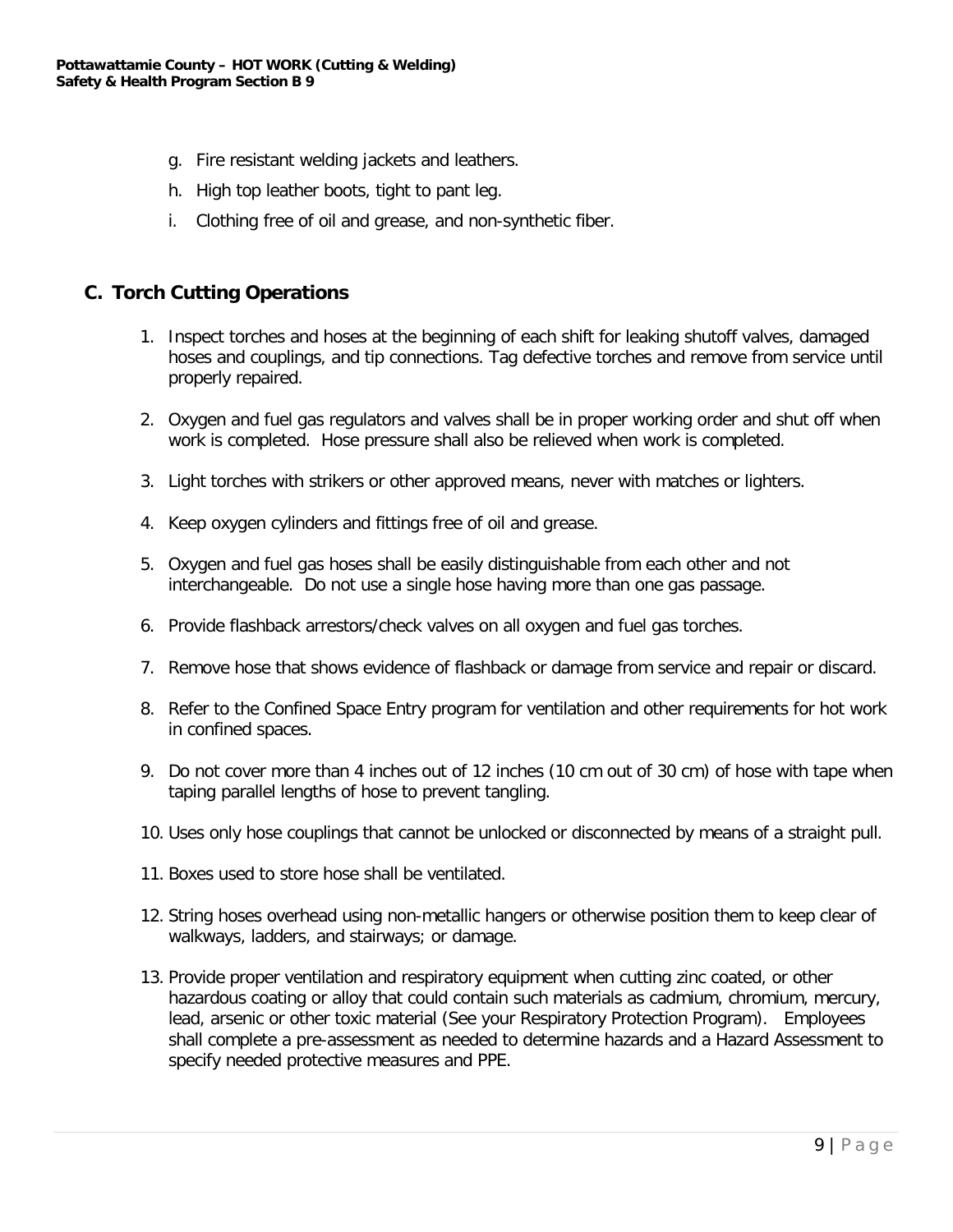- g. Fire resistant welding jackets and leathers.
- h. High top leather boots, tight to pant leg.
- i. Clothing free of oil and grease, and non-synthetic fiber.

#### **C. Torch Cutting Operations**

- 1. Inspect torches and hoses at the beginning of each shift for leaking shutoff valves, damaged hoses and couplings, and tip connections. Tag defective torches and remove from service until properly repaired.
- 2. Oxygen and fuel gas regulators and valves shall be in proper working order and shut off when work is completed. Hose pressure shall also be relieved when work is completed.
- 3. Light torches with strikers or other approved means, never with matches or lighters.
- 4. Keep oxygen cylinders and fittings free of oil and grease.
- 5. Oxygen and fuel gas hoses shall be easily distinguishable from each other and not interchangeable. Do not use a single hose having more than one gas passage.
- 6. Provide flashback arrestors/check valves on all oxygen and fuel gas torches.
- 7. Remove hose that shows evidence of flashback or damage from service and repair or discard.
- 8. Refer to the Confined Space Entry program for ventilation and other requirements for hot work in confined spaces.
- 9. Do not cover more than 4 inches out of 12 inches (10 cm out of 30 cm) of hose with tape when taping parallel lengths of hose to prevent tangling.
- 10. Uses only hose couplings that cannot be unlocked or disconnected by means of a straight pull.
- 11. Boxes used to store hose shall be ventilated.
- 12. String hoses overhead using non-metallic hangers or otherwise position them to keep clear of walkways, ladders, and stairways; or damage.
- 13. Provide proper ventilation and respiratory equipment when cutting zinc coated, or other hazardous coating or alloy that could contain such materials as cadmium, chromium, mercury, lead, arsenic or other toxic material (See your Respiratory Protection Program). Employees shall complete a pre-assessment as needed to determine hazards and a Hazard Assessment to specify needed protective measures and PPE.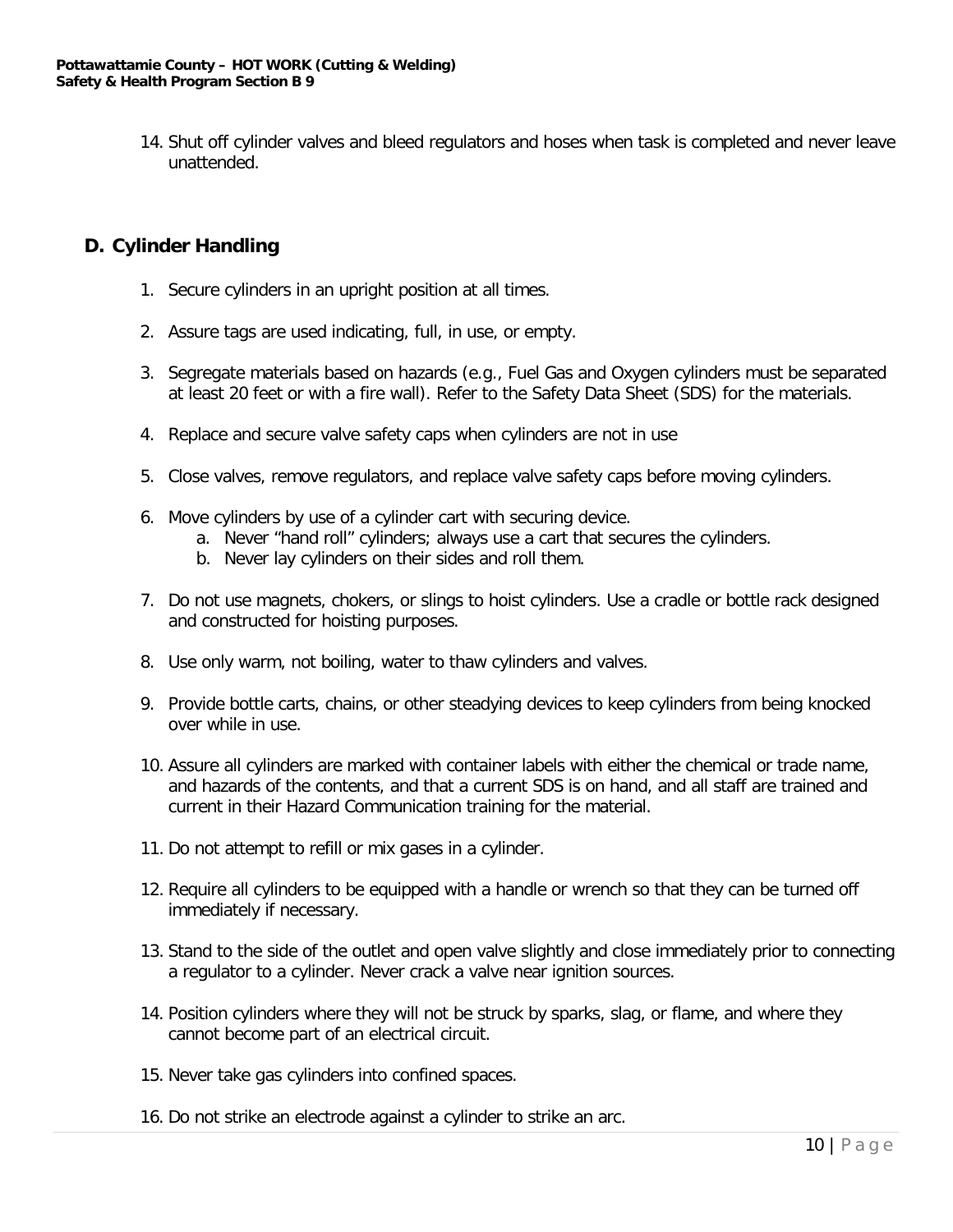14. Shut off cylinder valves and bleed regulators and hoses when task is completed and never leave unattended.

#### **D. Cylinder Handling**

- 1. Secure cylinders in an upright position at all times.
- 2. Assure tags are used indicating, full, in use, or empty.
- 3. Segregate materials based on hazards (e.g., Fuel Gas and Oxygen cylinders must be separated at least 20 feet or with a fire wall). Refer to the Safety Data Sheet (SDS) for the materials.
- 4. Replace and secure valve safety caps when cylinders are not in use
- 5. Close valves, remove regulators, and replace valve safety caps before moving cylinders.
- 6. Move cylinders by use of a cylinder cart with securing device.
	- a. Never "hand roll" cylinders; always use a cart that secures the cylinders.
	- b. Never lay cylinders on their sides and roll them.
- 7. Do not use magnets, chokers, or slings to hoist cylinders. Use a cradle or bottle rack designed and constructed for hoisting purposes.
- 8. Use only warm, not boiling, water to thaw cylinders and valves.
- 9. Provide bottle carts, chains, or other steadying devices to keep cylinders from being knocked over while in use.
- 10. Assure all cylinders are marked with container labels with either the chemical or trade name, and hazards of the contents, and that a current SDS is on hand, and all staff are trained and current in their Hazard Communication training for the material.
- 11. Do not attempt to refill or mix gases in a cylinder.
- 12. Require all cylinders to be equipped with a handle or wrench so that they can be turned off immediately if necessary.
- 13. Stand to the side of the outlet and open valve slightly and close immediately prior to connecting a regulator to a cylinder. Never crack a valve near ignition sources.
- 14. Position cylinders where they will not be struck by sparks, slag, or flame, and where they cannot become part of an electrical circuit.
- 15. Never take gas cylinders into confined spaces.
- 16. Do not strike an electrode against a cylinder to strike an arc.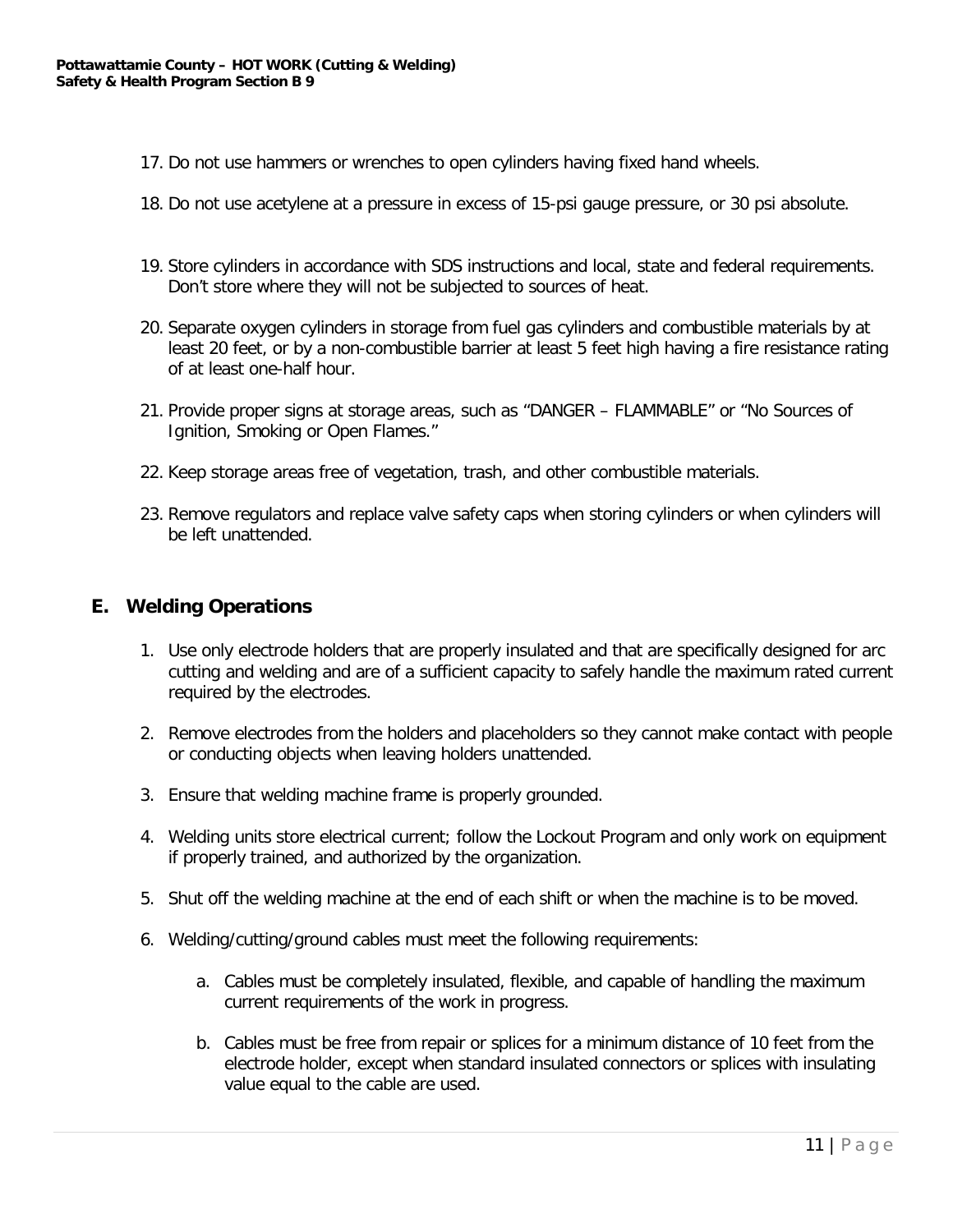- 17. Do not use hammers or wrenches to open cylinders having fixed hand wheels.
- 18. Do not use acetylene at a pressure in excess of 15-psi gauge pressure, or 30 psi absolute.
- 19. Store cylinders in accordance with SDS instructions and local, state and federal requirements. Don't store where they will not be subjected to sources of heat.
- 20. Separate oxygen cylinders in storage from fuel gas cylinders and combustible materials by at least 20 feet, or by a non-combustible barrier at least 5 feet high having a fire resistance rating of at least one-half hour.
- 21. Provide proper signs at storage areas, such as "DANGER FLAMMABLE" or "No Sources of Ignition, Smoking or Open Flames."
- 22. Keep storage areas free of vegetation, trash, and other combustible materials.
- 23. Remove regulators and replace valve safety caps when storing cylinders or when cylinders will be left unattended.

#### **E. Welding Operations**

- 1. Use only electrode holders that are properly insulated and that are specifically designed for arc cutting and welding and are of a sufficient capacity to safely handle the maximum rated current required by the electrodes.
- 2. Remove electrodes from the holders and placeholders so they cannot make contact with people or conducting objects when leaving holders unattended.
- 3. Ensure that welding machine frame is properly grounded.
- 4. Welding units store electrical current; follow the Lockout Program and only work on equipment if properly trained, and authorized by the organization.
- 5. Shut off the welding machine at the end of each shift or when the machine is to be moved.
- 6. Welding/cutting/ground cables must meet the following requirements:
	- a. Cables must be completely insulated, flexible, and capable of handling the maximum current requirements of the work in progress.
	- b. Cables must be free from repair or splices for a minimum distance of 10 feet from the electrode holder, except when standard insulated connectors or splices with insulating value equal to the cable are used.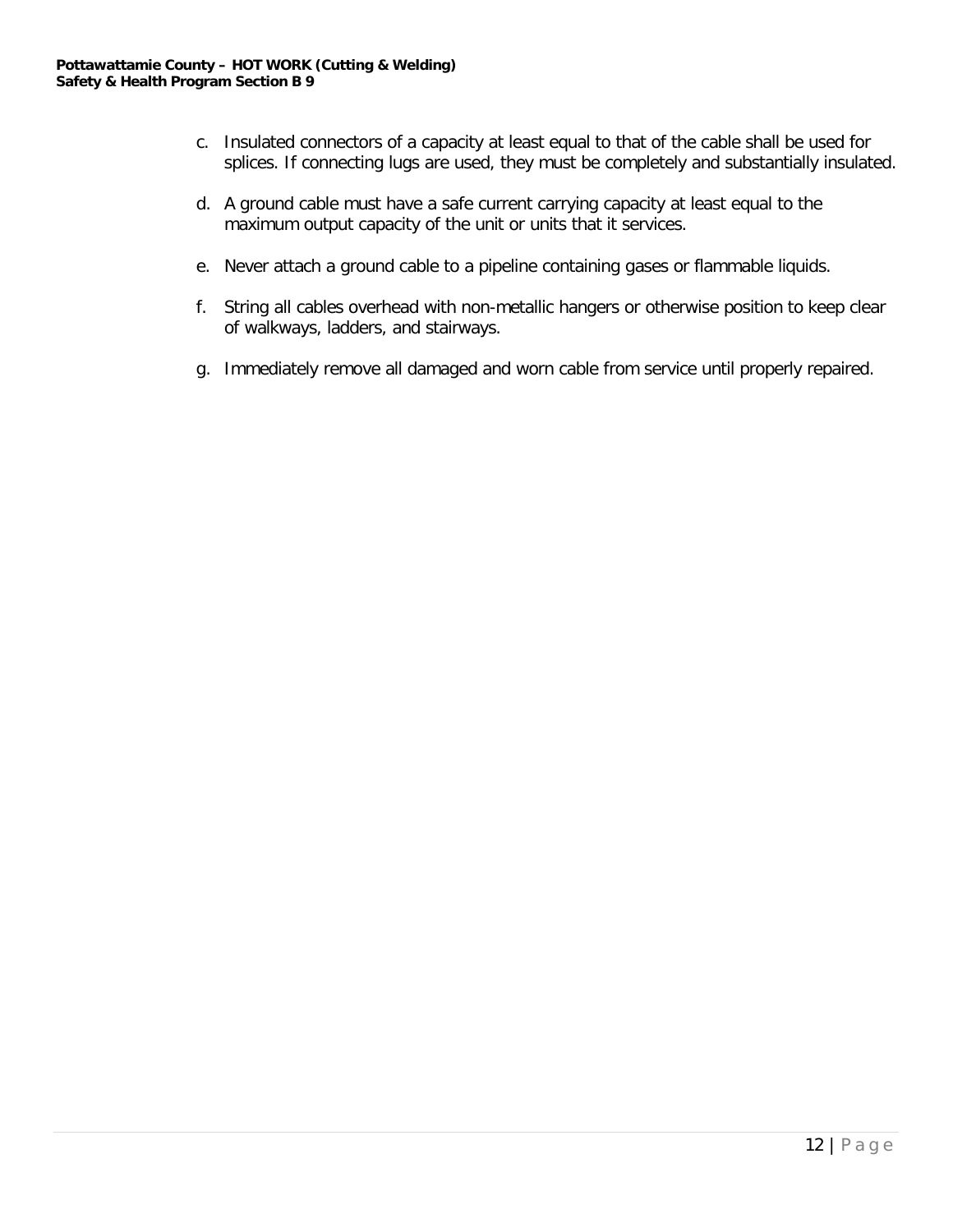- c. Insulated connectors of a capacity at least equal to that of the cable shall be used for splices. If connecting lugs are used, they must be completely and substantially insulated.
- d. A ground cable must have a safe current carrying capacity at least equal to the maximum output capacity of the unit or units that it services.
- e. Never attach a ground cable to a pipeline containing gases or flammable liquids.
- f. String all cables overhead with non-metallic hangers or otherwise position to keep clear of walkways, ladders, and stairways.
- g. Immediately remove all damaged and worn cable from service until properly repaired.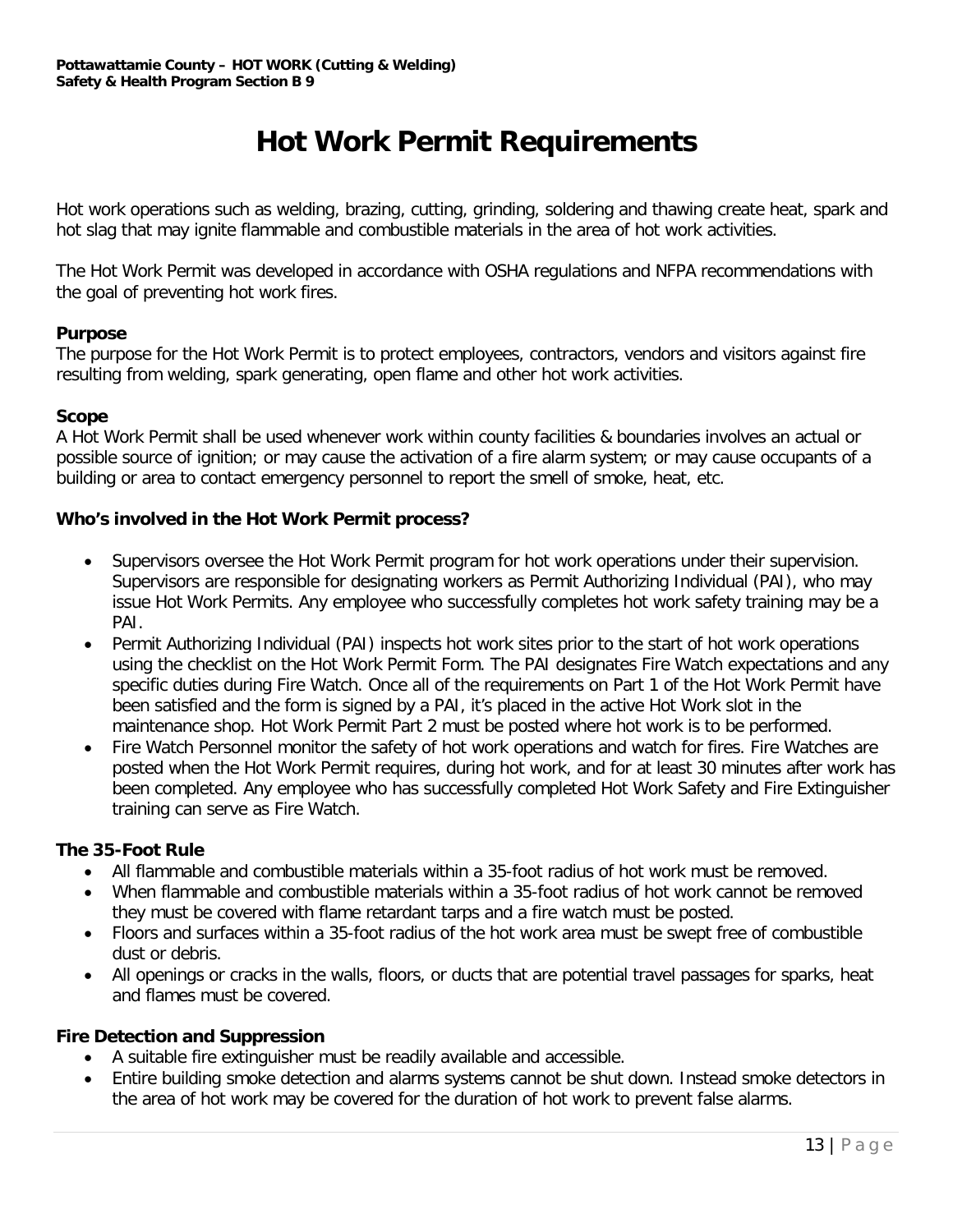# **Hot Work Permit Requirements**

Hot work operations such as welding, brazing, cutting, grinding, soldering and thawing create heat, spark and hot slag that may ignite flammable and combustible materials in the area of hot work activities.

The Hot Work Permit was developed in accordance with OSHA regulations and NFPA recommendations with the goal of preventing hot work fires.

#### **Purpose**

The purpose for the Hot Work Permit is to protect employees, contractors, vendors and visitors against fire resulting from welding, spark generating, open flame and other hot work activities.

#### **Scope**

A Hot Work Permit shall be used whenever work within county facilities & boundaries involves an actual or possible source of ignition; or may cause the activation of a fire alarm system; or may cause occupants of a building or area to contact emergency personnel to report the smell of smoke, heat, etc.

#### **Who's involved in the Hot Work Permit process?**

- Supervisors oversee the Hot Work Permit program for hot work operations under their supervision. Supervisors are responsible for designating workers as Permit Authorizing Individual (PAI), who may issue Hot Work Permits. Any employee who successfully completes hot work safety training may be a PAI.
- Permit Authorizing Individual (PAI) inspects hot work sites prior to the start of hot work operations using the checklist on the Hot Work Permit Form. The PAI designates Fire Watch expectations and any specific duties during Fire Watch. Once all of the requirements on Part 1 of the Hot Work Permit have been satisfied and the form is signed by a PAI, it's placed in the active Hot Work slot in the maintenance shop. Hot Work Permit Part 2 must be posted where hot work is to be performed.
- Fire Watch Personnel monitor the safety of hot work operations and watch for fires. Fire Watches are posted when the Hot Work Permit requires, during hot work, and for at least 30 minutes after work has been completed. Any employee who has successfully completed Hot Work Safety and Fire Extinguisher training can serve as Fire Watch.

#### **The 35-Foot Rule**

- All flammable and combustible materials within a 35-foot radius of hot work must be removed.
- When flammable and combustible materials within a 35-foot radius of hot work cannot be removed they must be covered with flame retardant tarps and a fire watch must be posted.
- Floors and surfaces within a 35-foot radius of the hot work area must be swept free of combustible dust or debris.
- All openings or cracks in the walls, floors, or ducts that are potential travel passages for sparks, heat and flames must be covered.

#### **Fire Detection and Suppression**

- A suitable fire extinguisher must be readily available and accessible.
- Entire building smoke detection and alarms systems cannot be shut down. Instead smoke detectors in the area of hot work may be covered for the duration of hot work to prevent false alarms.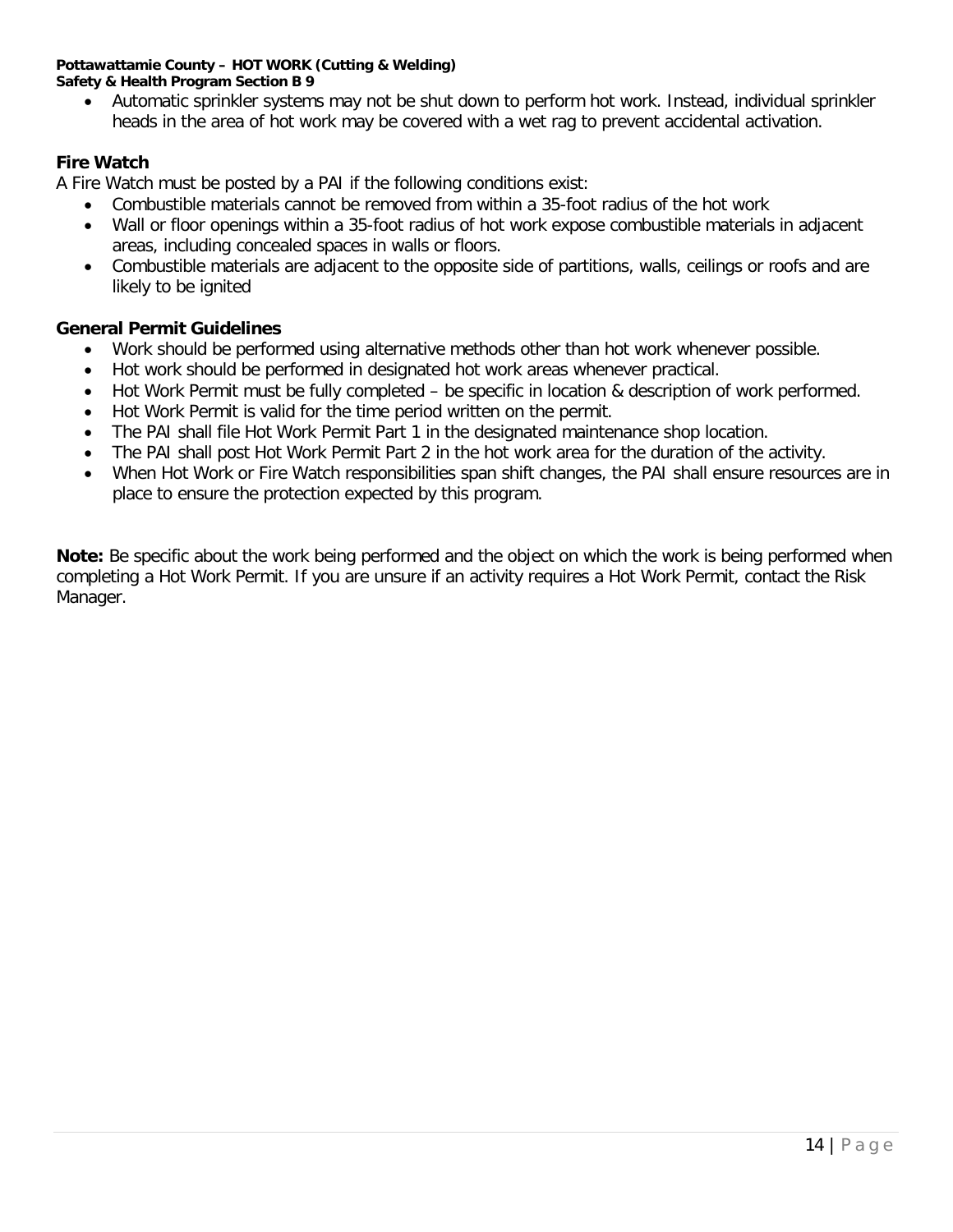#### **Pottawattamie County – HOT WORK (Cutting & Welding) Safety & Health Program Section B 9**

• Automatic sprinkler systems may not be shut down to perform hot work. Instead, individual sprinkler heads in the area of hot work may be covered with a wet rag to prevent accidental activation.

#### **Fire Watch**

A Fire Watch must be posted by a PAI if the following conditions exist:

- Combustible materials cannot be removed from within a 35-foot radius of the hot work
- Wall or floor openings within a 35-foot radius of hot work expose combustible materials in adjacent areas, including concealed spaces in walls or floors.
- Combustible materials are adjacent to the opposite side of partitions, walls, ceilings or roofs and are likely to be ignited

#### **General Permit Guidelines**

- Work should be performed using alternative methods other than hot work whenever possible.
- Hot work should be performed in designated hot work areas whenever practical.
- Hot Work Permit must be fully completed be specific in location & description of work performed.
- Hot Work Permit is valid for the time period written on the permit.
- The PAI shall file Hot Work Permit Part 1 in the designated maintenance shop location.
- The PAI shall post Hot Work Permit Part 2 in the hot work area for the duration of the activity.
- When Hot Work or Fire Watch responsibilities span shift changes, the PAI shall ensure resources are in place to ensure the protection expected by this program.

**Note:** Be specific about the work being performed and the object on which the work is being performed when completing a Hot Work Permit. If you are unsure if an activity requires a Hot Work Permit, contact the Risk Manager.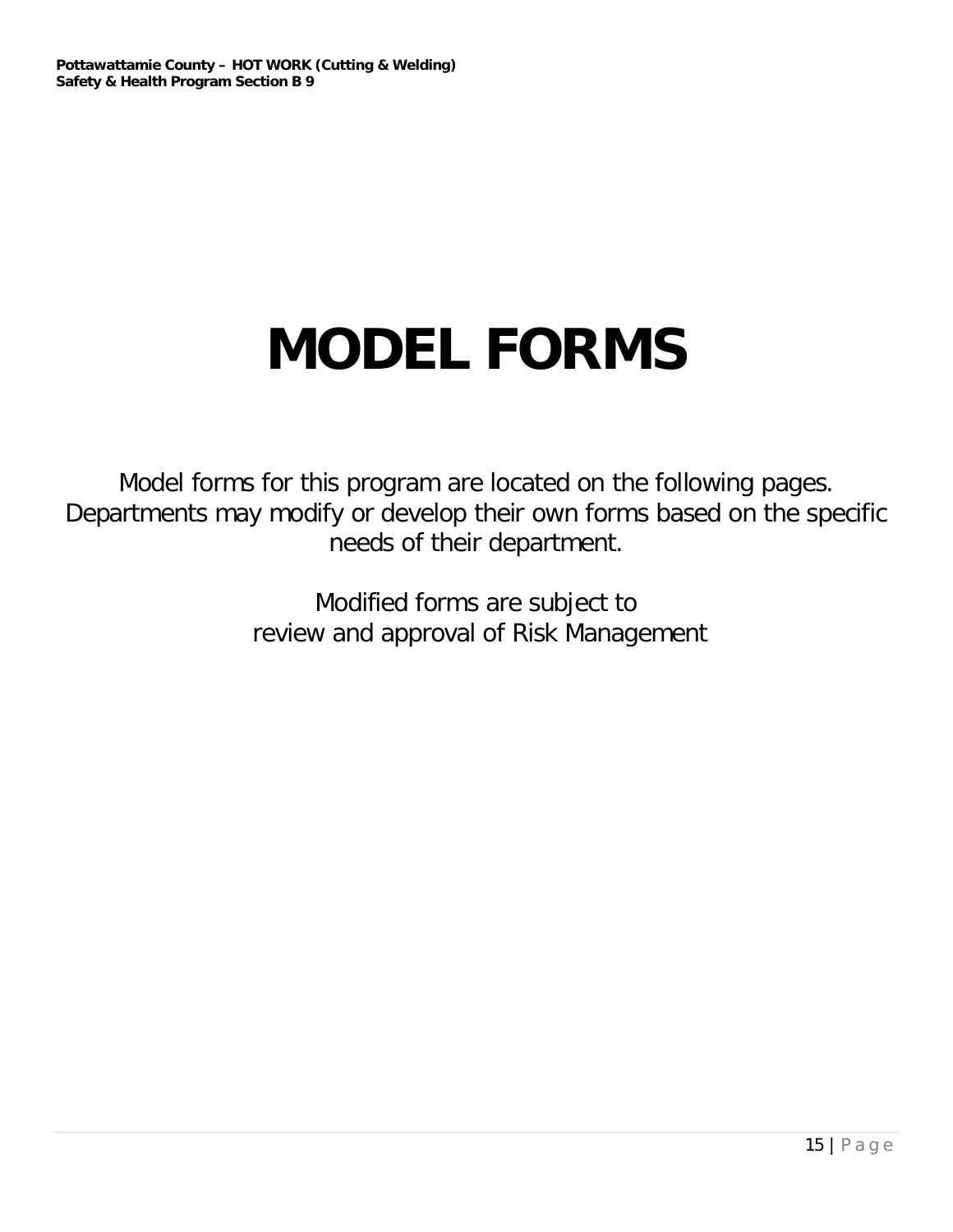# **MODEL FORMS**

Model forms for this program are located on the following pages. Departments may modify or develop their own forms based on the specific needs of their department.

> Modified forms are subject to review and approval of Risk Management